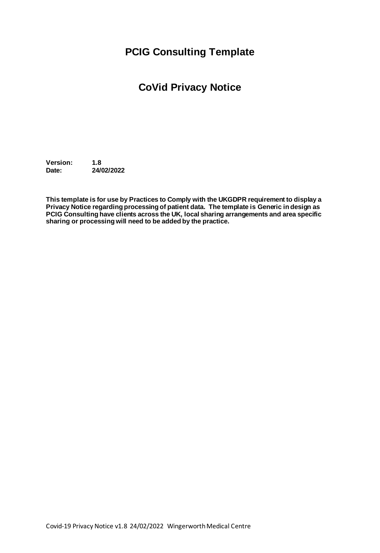## **PCIG Consulting Template**

# **CoVid Privacy Notice**

**Version: 1.8 Date: 24/02/2022**

**This template is for use by Practices to Comply with the UKGDPR requirement to display a Privacy Notice regarding processing of patient data. The template is Generic in design as PCIG Consulting have clients across the UK, local sharing arrangements and area specific sharing or processing will need to be added by the practice.**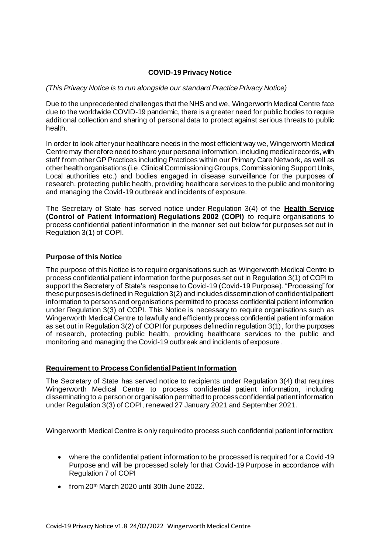### **COVID-19 Privacy Notice**

#### *(This Privacy Notice is to run alongside our standard Practice Privacy Notice)*

Due to the unprecedented challenges that the NHS and we, Wingerworth Medical Centre face due to the worldwide COVID-19 pandemic, there is a greater need for public bodies to require additional collection and sharing of personal data to protect against serious threats to public health.

In order to look after your healthcare needs in the most efficient way we, Wingerworth Medical Centre may therefore need to share your personal information, including medical records, with staff from other GP Practices including Practices within our Primary Care Network, as well as other health organisations (i.e. ClinicalCommissioning Groups, Commissioning Support Units, Local authorities etc.) and bodies engaged in disease surveillance for the purposes of research, protecting public health, providing healthcare services to the public and monitoring and managing the Covid-19 outbreak and incidents of exposure.

The Secretary of State has served notice under Regulation 3(4) of the **Health Service (Control of Patient Information) Regulations 2002 (COPI)** to require organisations to process confidential patient information in the manner set out below for purposes set out in Regulation 3(1) of COPI.

## **Purpose of this Notice**

The purpose of this Notice is to require organisations such as Wingerworth Medical Centre to process confidential patient information for the purposes set out in Regulation 3(1) of COPI to support the Secretary of State's response to Covid-19 (Covid-19 Purpose). "Processing" for these purposes is defined in Regulation 3(2) and includes dissemination of confidential patient information to persons and organisations permitted to process confidential patient information under Regulation 3(3) of COPI. This Notice is necessary to require organisations such as Wingerworth Medical Centre to lawfully and efficiently process confidential patient information as set out in Regulation 3(2) of COPI for purposes defined in regulation 3(1), for the purposes of research, protecting public health, providing healthcare services to the public and monitoring and managing the Covid-19 outbreak and incidents of exposure.

#### **Requirement to Process Confidential Patient Information**

The Secretary of State has served notice to recipients under Regulation 3(4) that requires Wingerworth Medical Centre to process confidential patient information, including disseminating to a person or organisation permitted to process confidential patient information under Regulation 3(3) of COPI, renewed 27 January 2021 and September 2021.

Wingerworth Medical Centre is only required to process such confidential patient information:

- where the confidential patient information to be processed is required for a Covid-19 Purpose and will be processed solely for that Covid-19 Purpose in accordance with Regulation 7 of COPI
- $\bullet$  from 20<sup>th</sup> March 2020 until 30th June 2022.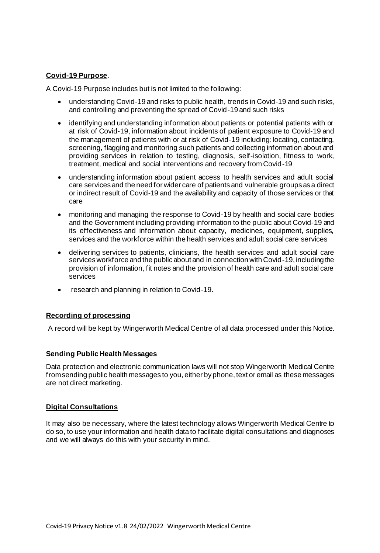## **Covid-19 Purpose**.

A Covid-19 Purpose includes but is not limited to the following:

- understanding Covid-19 and risks to public health, trends in Covid-19 and such risks, and controlling and preventing the spread of Covid-19 and such risks
- identifying and understanding information about patients or potential patients with or at risk of Covid-19, information about incidents of patient exposure to Covid-19 and the management of patients with or at risk of Covid-19 including: locating, contacting, screening, flagging and monitoring such patients and collecting information about and providing services in relation to testing, diagnosis, self-isolation, fitness to work, treatment, medical and social interventions and recovery from Covid-19
- understanding information about patient access to health services and adult social care services and the need for wider care of patients and vulnerable groups as a direct or indirect result of Covid-19 and the availability and capacity of those services or that care
- monitoring and managing the response to Covid-19 by health and social care bodies and the Government including providing information to the public about Covid-19 and its effectiveness and information about capacity, medicines, equipment, supplies, services and the workforce within the health services and adult social care services
- delivering services to patients, clinicians, the health services and adult social care services workforce and the public about and in connection with Covid-19, including the provision of information, fit notes and the provision of health care and adult social care services
- research and planning in relation to Covid-19.

## **Recording of processing**

A record will be kept by Wingerworth Medical Centre of all data processed under this Notice.

#### **Sending Public Health Messages**

Data protection and electronic communication laws will not stop Wingerworth Medical Centre fromsending public health messages to you, either by phone, text or email as these messages are not direct marketing.

#### **Digital Consultations**

It may also be necessary, where the latest technology allows Wingerworth Medical Centre to do so, to use your information and health data to facilitate digital consultations and diagnoses and we will always do this with your security in mind.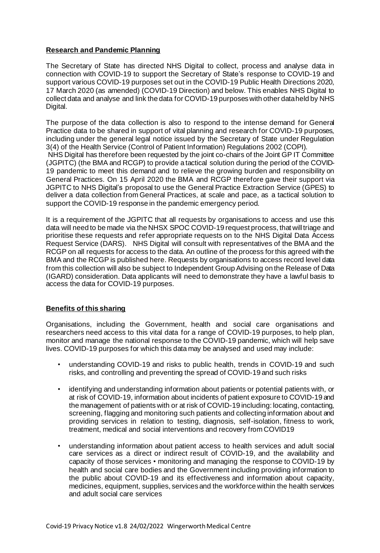## **Research and Pandemic Planning**

The Secretary of State has directed NHS Digital to collect, process and analyse data in connection with COVID-19 to support the Secretary of State's response to COVID-19 and support various COVID-19 purposes set out in the COVID-19 Public Health Directions 2020, 17 March 2020 (as amended) (COVID-19 Direction) and below. This enables NHS Digital to collect data and analyse and link the data for COVID-19 purposes with other dataheld by NHS Digital.

The purpose of the data collection is also to respond to the intense demand for General Practice data to be shared in support of vital planning and research for COVID-19 purposes, including under the general legal notice issued by the Secretary of State under Regulation 3(4) of the Health Service (Control of Patient Information) Regulations 2002 (COPI). NHS Digital has therefore been requested by the joint co-chairs of the Joint GP IT Committee (JGPITC) (the BMA and RCGP) to provide a tactical solution during the period of the COVID-

19 pandemic to meet this demand and to relieve the growing burden and responsibility on General Practices. On 15 April 2020 the BMA and RCGP therefore gave their support via JGPITC to NHS Digital's proposal to use the General Practice Extraction Service (GPES) to deliver a data collection from General Practices, at scale and pace, as a tactical solution to support the COVID-19 response in the pandemic emergency period.

It is a requirement of the JGPITC that all requests by organisations to access and use this data will need to be made via the NHSX SPOC COVID-19 request process, that willtriage and prioritise these requests and refer appropriate requests on to the NHS Digital Data Access Request Service (DARS). NHS Digital will consult with representatives of the BMA and the RCGP on all requests for access to the data. An outline of the process for this agreed with the BMA and the RCGP is published here. Requests by organisations to access record level data from this collection will also be subject to Independent Group Advising on the Release of Data (IGARD) consideration. Data applicants will need to demonstrate they have a lawful basis to access the data for COVID-19 purposes.

## **Benefits of this sharing**

Organisations, including the Government, health and social care organisations and researchers need access to this vital data for a range of COVID-19 purposes, to help plan, monitor and manage the national response to the COVID-19 pandemic, which will help save lives. COVID-19 purposes for which this data may be analysed and used may include:

- understanding COVID-19 and risks to public health, trends in COVID-19 and such risks, and controlling and preventing the spread of COVID-19 and such risks
- identifying and understanding information about patients or potential patients with, or at risk of COVID-19, information about incidents of patient exposure to COVID-19 and the management of patients with or at risk of COVID-19 including: locating, contacting, screening, flagging and monitoring such patients and collecting information about and providing services in relation to testing, diagnosis, self-isolation, fitness to work, treatment, medical and social interventions and recovery from COVID19
- understanding information about patient access to health services and adult social care services as a direct or indirect result of COVID-19, and the availability and capacity of those services • monitoring and managing the response to COVID-19 by health and social care bodies and the Government including providing information to the public about COVID-19 and its effectiveness and information about capacity, medicines, equipment, supplies, services and the workforce within the health services and adult social care services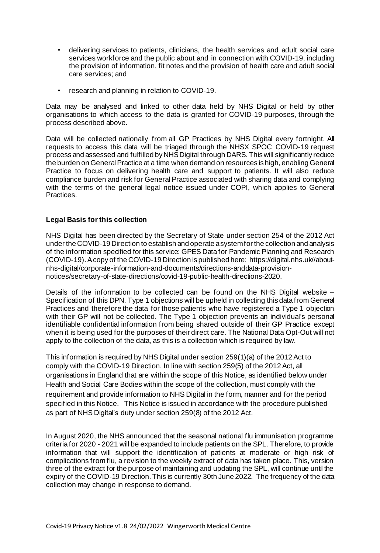- delivering services to patients, clinicians, the health services and adult social care services workforce and the public about and in connection with COVID-19, including the provision of information, fit notes and the provision of health care and adult social care services; and
- research and planning in relation to COVID-19.

Data may be analysed and linked to other data held by NHS Digital or held by other organisations to which access to the data is granted for COVID-19 purposes, through the process described above.

Data will be collected nationally from all GP Practices by NHS Digital every fortnight. All requests to access this data will be triaged through the NHSX SPOC COVID-19 request process and assessed and fulfilled by NHSDigital through DARS. This will significantly reduce the burden on General Practice at a time when demand on resources is high, enabling General Practice to focus on delivering health care and support to patients. It will also reduce compliance burden and risk for General Practice associated with sharing data and complying with the terms of the general legal notice issued under COPI, which applies to General Practices.

## **Legal Basis forthis collection**

NHS Digital has been directed by the Secretary of State under section 254 of the 2012 Act under the COVID-19 Direction to establish and operate asystemfor the collection and analysis of the information specified for this service: GPES Data for Pandemic Planning and Research (COVID-19).Acopy of the COVID-19 Direction is published here: https://digital.nhs.uk//aboutnhs-digital/corporate-information-and-documents/directions-anddata-provisionnotices/secretary-of-state-directions/covid-19-public-health-directions-2020.

Details of the information to be collected can be found on the NHS Digital website – Specification of this DPN. Type 1 objections will be upheld in collecting this data from General Practices and therefore the data for those patients who have registered a Type 1 objection with their GP will not be collected. The Type 1 objection prevents an individual's personal identifiable confidential information from being shared outside of their GP Practice except when it is being used for the purposes of their direct care. The National Data Opt-Out will not apply to the collection of the data, as this is a collection which is required by law.

This information is required by NHS Digital under section 259(1)(a) of the 2012 Act to comply with the COVID-19 Direction. In line with section 259(5) of the 2012Act, all organisations in England that are within the scope of this Notice, as identified below under Health and Social Care Bodies within the scope of the collection, must comply with the requirement and provide information to NHS Digital in the form, manner and for the period specified in this Notice. This Notice is issued in accordance with the procedure published as part of NHS Digital's duty under section 259(8) of the 2012 Act.

In August 2020, the NHS announced that the seasonal national flu immunisation programme criteria for 2020 - 2021 will be expanded to include patients on the SPL. Therefore, to provide information that will support the identification of patients at moderate or high risk of complications from flu, a revision to the weekly extract of data has taken place. This, version three of the extract for the purpose of maintaining and updating the SPL, will continue until the expiry of the COVID-19 Direction. This is currently 30th June 2022. The frequency of the data collection may change in response to demand.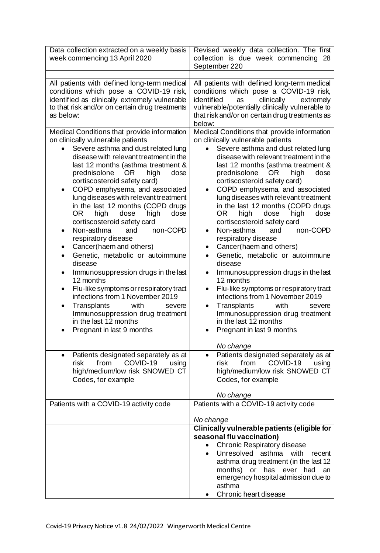| Data collection extracted on a weekly basis<br>week commencing 13 April 2020                                                                                                                                                                                                                                                                                                                                                                                                                                                                                                                                                                                                                                                                                                                                                                                                                               | Revised weekly data collection. The first<br>collection is due week commencing 28<br>September 220                                                                                                                                                                                                                                                                                                                                                                                                                                                                                                                                                                                                                                                                                                                                                                              |
|------------------------------------------------------------------------------------------------------------------------------------------------------------------------------------------------------------------------------------------------------------------------------------------------------------------------------------------------------------------------------------------------------------------------------------------------------------------------------------------------------------------------------------------------------------------------------------------------------------------------------------------------------------------------------------------------------------------------------------------------------------------------------------------------------------------------------------------------------------------------------------------------------------|---------------------------------------------------------------------------------------------------------------------------------------------------------------------------------------------------------------------------------------------------------------------------------------------------------------------------------------------------------------------------------------------------------------------------------------------------------------------------------------------------------------------------------------------------------------------------------------------------------------------------------------------------------------------------------------------------------------------------------------------------------------------------------------------------------------------------------------------------------------------------------|
| All patients with defined long-term medical<br>conditions which pose a COVID-19 risk,<br>identified as clinically extremely vulnerable<br>to that risk and/or on certain drug treatments<br>as below:                                                                                                                                                                                                                                                                                                                                                                                                                                                                                                                                                                                                                                                                                                      | All patients with defined long-term medical<br>conditions which pose a COVID-19 risk,<br>identified<br>clinically<br>extremely<br>as<br>vulnerable/potentially clinically vulnerable to<br>that risk and/or on certain drug treatments as<br>below:                                                                                                                                                                                                                                                                                                                                                                                                                                                                                                                                                                                                                             |
| Medical Conditions that provide information<br>on clinically vulnerable patients<br>Severe asthma and dust related lung<br>disease with relevant treatment in the<br>last 12 months (asthma treatment &<br>prednisolone<br>OR.<br>high<br>dose<br>cortiscosteroid safety card)<br>COPD emphysema, and associated<br>٠<br>lung diseases with relevant treatment<br>in the last 12 months (COPD drugs<br>0R<br>high<br>dose<br>high<br>dose<br>cortiscosteroid safety card<br>Non-asthma<br>non-COPD<br>and<br>respiratory disease<br>Cancer(haem and others)<br>٠<br>Genetic, metabolic or autoimmune<br>$\bullet$<br>disease<br>Immunosuppression drugs in the last<br>12 months<br>Flu-like symptoms or respiratory tract<br>٠<br>infections from 1 November 2019<br>with<br>Transplants<br>severe<br>$\bullet$<br>Immunosuppression drug treatment<br>in the last 12 months<br>Pregnant in last 9 months | Medical Conditions that provide information<br>on clinically vulnerable patients<br>Severe asthma and dust related lung<br>disease with relevant treatment in the<br>last 12 months (asthma treatment &<br>prednisolone<br>OR.<br>high<br>dose<br>cortiscosteroid safety card)<br>COPD emphysema, and associated<br>lung diseases with relevant treatment<br>in the last 12 months (COPD drugs<br>high<br>dose<br>OR.<br>dose<br>high<br>cortiscosteroid safety card<br>Non-asthma<br>non-COPD<br>and<br>respiratory disease<br>Cancer(haem and others)<br>Genetic, metabolic or autoimmune<br>disease<br>Immunosuppression drugs in the last<br>12 months<br>Flu-like symptoms or respiratory tract<br>infections from 1 November 2019<br>with<br>Transplants<br>severe<br>$\bullet$<br>Immunosuppression drug treatment<br>in the last 12 months<br>Pregnant in last 9 months |
| Patients designated separately as at<br>$\bullet$<br>from<br>COVID-19<br>risk<br>using<br>high/medium/low risk SNOWED CT<br>Codes, for example                                                                                                                                                                                                                                                                                                                                                                                                                                                                                                                                                                                                                                                                                                                                                             | No change<br>Patients designated separately as at<br>COVID-19<br>risk<br>from<br>using<br>high/medium/low risk SNOWED CT<br>Codes, for example<br>No change                                                                                                                                                                                                                                                                                                                                                                                                                                                                                                                                                                                                                                                                                                                     |
| Patients with a COVID-19 activity code                                                                                                                                                                                                                                                                                                                                                                                                                                                                                                                                                                                                                                                                                                                                                                                                                                                                     | Patients with a COVID-19 activity code                                                                                                                                                                                                                                                                                                                                                                                                                                                                                                                                                                                                                                                                                                                                                                                                                                          |
|                                                                                                                                                                                                                                                                                                                                                                                                                                                                                                                                                                                                                                                                                                                                                                                                                                                                                                            | No change<br>Clinically vulnerable patients (eligible for                                                                                                                                                                                                                                                                                                                                                                                                                                                                                                                                                                                                                                                                                                                                                                                                                       |
|                                                                                                                                                                                                                                                                                                                                                                                                                                                                                                                                                                                                                                                                                                                                                                                                                                                                                                            | seasonal flu vaccination)<br><b>Chronic Respiratory disease</b><br>Unresolved<br>asthma<br>with<br>recent<br>asthma drug treatment (in the last 12<br>months)<br>or<br>has<br>ever<br>had<br>an<br>emergency hospital admission due to<br>asthma<br>Chronic heart disease                                                                                                                                                                                                                                                                                                                                                                                                                                                                                                                                                                                                       |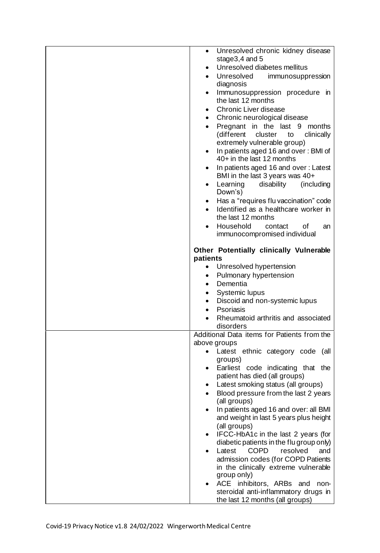| $\bullet$<br>stage $3,4$ and $5$<br>Unresolved diabetes mellitus<br>Unresolved<br>immunosuppression<br>$\bullet$<br>diagnosis<br>Immunosuppression procedure in<br>$\bullet$<br>the last 12 months<br>Chronic Liver disease<br>$\bullet$<br>Chronic neurological disease<br>$\bullet$<br>Pregnant in the last 9<br>months<br>$\bullet$<br>(different<br>clinically<br>cluster<br>to<br>extremely vulnerable group)<br>In patients aged 16 and over: BMI of<br>40+ in the last 12 months<br>In patients aged 16 and over: Latest<br>BMI in the last 3 years was 40+<br>disability<br>Learning<br>(including)<br>$\bullet$<br>Down's)<br>Has a "requires flu vaccination" code<br>$\bullet$<br>Identified as a healthcare worker in<br>the last 12 months<br>Household<br>contact<br>οf<br>an<br>immunocompromised individual<br>Other Potentially clinically Vulnerable<br>patients<br>Unresolved hypertension<br>٠<br>Pulmonary hypertension<br>$\bullet$<br>Dementia<br>$\bullet$<br>Systemic lupus<br>٠<br>Discoid and non-systemic lupus<br>٠<br>Psoriasis<br>Rheumatoid arthritis and associated<br>disorders<br>Additional Data items for Patients from the<br>above groups<br>Latest ethnic category code (all<br>groups)<br>Earliest code indicating that the<br>$\bullet$<br>patient has died (all groups)<br>Latest smoking status (all groups)<br>Blood pressure from the last 2 years<br>(all groups)<br>In patients aged 16 and over: all BMI<br>and weight in last 5 years plus height<br>(all groups)<br>IFCC-HbA1c in the last 2 years (for<br>diabetic patients in the flu group only)<br>Latest<br><b>COPD</b><br>resolved<br>and<br>admission codes (for COPD Patients<br>in the clinically extreme vulnerable<br>group only)<br>ACE inhibitors, ARBs and<br>non-<br>steroidal anti-inflammatory drugs in<br>the last 12 months (all groups) |                                   |
|----------------------------------------------------------------------------------------------------------------------------------------------------------------------------------------------------------------------------------------------------------------------------------------------------------------------------------------------------------------------------------------------------------------------------------------------------------------------------------------------------------------------------------------------------------------------------------------------------------------------------------------------------------------------------------------------------------------------------------------------------------------------------------------------------------------------------------------------------------------------------------------------------------------------------------------------------------------------------------------------------------------------------------------------------------------------------------------------------------------------------------------------------------------------------------------------------------------------------------------------------------------------------------------------------------------------------------------------------------------------------------------------------------------------------------------------------------------------------------------------------------------------------------------------------------------------------------------------------------------------------------------------------------------------------------------------------------------------------------------------------------------------------------------------------------------------------------------------------------------|-----------------------------------|
|                                                                                                                                                                                                                                                                                                                                                                                                                                                                                                                                                                                                                                                                                                                                                                                                                                                                                                                                                                                                                                                                                                                                                                                                                                                                                                                                                                                                                                                                                                                                                                                                                                                                                                                                                                                                                                                                | Unresolved chronic kidney disease |
|                                                                                                                                                                                                                                                                                                                                                                                                                                                                                                                                                                                                                                                                                                                                                                                                                                                                                                                                                                                                                                                                                                                                                                                                                                                                                                                                                                                                                                                                                                                                                                                                                                                                                                                                                                                                                                                                |                                   |
|                                                                                                                                                                                                                                                                                                                                                                                                                                                                                                                                                                                                                                                                                                                                                                                                                                                                                                                                                                                                                                                                                                                                                                                                                                                                                                                                                                                                                                                                                                                                                                                                                                                                                                                                                                                                                                                                |                                   |
|                                                                                                                                                                                                                                                                                                                                                                                                                                                                                                                                                                                                                                                                                                                                                                                                                                                                                                                                                                                                                                                                                                                                                                                                                                                                                                                                                                                                                                                                                                                                                                                                                                                                                                                                                                                                                                                                |                                   |
|                                                                                                                                                                                                                                                                                                                                                                                                                                                                                                                                                                                                                                                                                                                                                                                                                                                                                                                                                                                                                                                                                                                                                                                                                                                                                                                                                                                                                                                                                                                                                                                                                                                                                                                                                                                                                                                                |                                   |
|                                                                                                                                                                                                                                                                                                                                                                                                                                                                                                                                                                                                                                                                                                                                                                                                                                                                                                                                                                                                                                                                                                                                                                                                                                                                                                                                                                                                                                                                                                                                                                                                                                                                                                                                                                                                                                                                |                                   |
|                                                                                                                                                                                                                                                                                                                                                                                                                                                                                                                                                                                                                                                                                                                                                                                                                                                                                                                                                                                                                                                                                                                                                                                                                                                                                                                                                                                                                                                                                                                                                                                                                                                                                                                                                                                                                                                                |                                   |
|                                                                                                                                                                                                                                                                                                                                                                                                                                                                                                                                                                                                                                                                                                                                                                                                                                                                                                                                                                                                                                                                                                                                                                                                                                                                                                                                                                                                                                                                                                                                                                                                                                                                                                                                                                                                                                                                |                                   |
|                                                                                                                                                                                                                                                                                                                                                                                                                                                                                                                                                                                                                                                                                                                                                                                                                                                                                                                                                                                                                                                                                                                                                                                                                                                                                                                                                                                                                                                                                                                                                                                                                                                                                                                                                                                                                                                                |                                   |
|                                                                                                                                                                                                                                                                                                                                                                                                                                                                                                                                                                                                                                                                                                                                                                                                                                                                                                                                                                                                                                                                                                                                                                                                                                                                                                                                                                                                                                                                                                                                                                                                                                                                                                                                                                                                                                                                |                                   |
|                                                                                                                                                                                                                                                                                                                                                                                                                                                                                                                                                                                                                                                                                                                                                                                                                                                                                                                                                                                                                                                                                                                                                                                                                                                                                                                                                                                                                                                                                                                                                                                                                                                                                                                                                                                                                                                                |                                   |
|                                                                                                                                                                                                                                                                                                                                                                                                                                                                                                                                                                                                                                                                                                                                                                                                                                                                                                                                                                                                                                                                                                                                                                                                                                                                                                                                                                                                                                                                                                                                                                                                                                                                                                                                                                                                                                                                |                                   |
|                                                                                                                                                                                                                                                                                                                                                                                                                                                                                                                                                                                                                                                                                                                                                                                                                                                                                                                                                                                                                                                                                                                                                                                                                                                                                                                                                                                                                                                                                                                                                                                                                                                                                                                                                                                                                                                                |                                   |
|                                                                                                                                                                                                                                                                                                                                                                                                                                                                                                                                                                                                                                                                                                                                                                                                                                                                                                                                                                                                                                                                                                                                                                                                                                                                                                                                                                                                                                                                                                                                                                                                                                                                                                                                                                                                                                                                |                                   |
|                                                                                                                                                                                                                                                                                                                                                                                                                                                                                                                                                                                                                                                                                                                                                                                                                                                                                                                                                                                                                                                                                                                                                                                                                                                                                                                                                                                                                                                                                                                                                                                                                                                                                                                                                                                                                                                                |                                   |
|                                                                                                                                                                                                                                                                                                                                                                                                                                                                                                                                                                                                                                                                                                                                                                                                                                                                                                                                                                                                                                                                                                                                                                                                                                                                                                                                                                                                                                                                                                                                                                                                                                                                                                                                                                                                                                                                |                                   |
|                                                                                                                                                                                                                                                                                                                                                                                                                                                                                                                                                                                                                                                                                                                                                                                                                                                                                                                                                                                                                                                                                                                                                                                                                                                                                                                                                                                                                                                                                                                                                                                                                                                                                                                                                                                                                                                                |                                   |
|                                                                                                                                                                                                                                                                                                                                                                                                                                                                                                                                                                                                                                                                                                                                                                                                                                                                                                                                                                                                                                                                                                                                                                                                                                                                                                                                                                                                                                                                                                                                                                                                                                                                                                                                                                                                                                                                |                                   |
|                                                                                                                                                                                                                                                                                                                                                                                                                                                                                                                                                                                                                                                                                                                                                                                                                                                                                                                                                                                                                                                                                                                                                                                                                                                                                                                                                                                                                                                                                                                                                                                                                                                                                                                                                                                                                                                                |                                   |
|                                                                                                                                                                                                                                                                                                                                                                                                                                                                                                                                                                                                                                                                                                                                                                                                                                                                                                                                                                                                                                                                                                                                                                                                                                                                                                                                                                                                                                                                                                                                                                                                                                                                                                                                                                                                                                                                |                                   |
|                                                                                                                                                                                                                                                                                                                                                                                                                                                                                                                                                                                                                                                                                                                                                                                                                                                                                                                                                                                                                                                                                                                                                                                                                                                                                                                                                                                                                                                                                                                                                                                                                                                                                                                                                                                                                                                                |                                   |
|                                                                                                                                                                                                                                                                                                                                                                                                                                                                                                                                                                                                                                                                                                                                                                                                                                                                                                                                                                                                                                                                                                                                                                                                                                                                                                                                                                                                                                                                                                                                                                                                                                                                                                                                                                                                                                                                |                                   |
|                                                                                                                                                                                                                                                                                                                                                                                                                                                                                                                                                                                                                                                                                                                                                                                                                                                                                                                                                                                                                                                                                                                                                                                                                                                                                                                                                                                                                                                                                                                                                                                                                                                                                                                                                                                                                                                                |                                   |
|                                                                                                                                                                                                                                                                                                                                                                                                                                                                                                                                                                                                                                                                                                                                                                                                                                                                                                                                                                                                                                                                                                                                                                                                                                                                                                                                                                                                                                                                                                                                                                                                                                                                                                                                                                                                                                                                |                                   |
|                                                                                                                                                                                                                                                                                                                                                                                                                                                                                                                                                                                                                                                                                                                                                                                                                                                                                                                                                                                                                                                                                                                                                                                                                                                                                                                                                                                                                                                                                                                                                                                                                                                                                                                                                                                                                                                                |                                   |
|                                                                                                                                                                                                                                                                                                                                                                                                                                                                                                                                                                                                                                                                                                                                                                                                                                                                                                                                                                                                                                                                                                                                                                                                                                                                                                                                                                                                                                                                                                                                                                                                                                                                                                                                                                                                                                                                |                                   |
|                                                                                                                                                                                                                                                                                                                                                                                                                                                                                                                                                                                                                                                                                                                                                                                                                                                                                                                                                                                                                                                                                                                                                                                                                                                                                                                                                                                                                                                                                                                                                                                                                                                                                                                                                                                                                                                                |                                   |
|                                                                                                                                                                                                                                                                                                                                                                                                                                                                                                                                                                                                                                                                                                                                                                                                                                                                                                                                                                                                                                                                                                                                                                                                                                                                                                                                                                                                                                                                                                                                                                                                                                                                                                                                                                                                                                                                |                                   |
|                                                                                                                                                                                                                                                                                                                                                                                                                                                                                                                                                                                                                                                                                                                                                                                                                                                                                                                                                                                                                                                                                                                                                                                                                                                                                                                                                                                                                                                                                                                                                                                                                                                                                                                                                                                                                                                                |                                   |
|                                                                                                                                                                                                                                                                                                                                                                                                                                                                                                                                                                                                                                                                                                                                                                                                                                                                                                                                                                                                                                                                                                                                                                                                                                                                                                                                                                                                                                                                                                                                                                                                                                                                                                                                                                                                                                                                |                                   |
|                                                                                                                                                                                                                                                                                                                                                                                                                                                                                                                                                                                                                                                                                                                                                                                                                                                                                                                                                                                                                                                                                                                                                                                                                                                                                                                                                                                                                                                                                                                                                                                                                                                                                                                                                                                                                                                                |                                   |
|                                                                                                                                                                                                                                                                                                                                                                                                                                                                                                                                                                                                                                                                                                                                                                                                                                                                                                                                                                                                                                                                                                                                                                                                                                                                                                                                                                                                                                                                                                                                                                                                                                                                                                                                                                                                                                                                |                                   |
|                                                                                                                                                                                                                                                                                                                                                                                                                                                                                                                                                                                                                                                                                                                                                                                                                                                                                                                                                                                                                                                                                                                                                                                                                                                                                                                                                                                                                                                                                                                                                                                                                                                                                                                                                                                                                                                                |                                   |
|                                                                                                                                                                                                                                                                                                                                                                                                                                                                                                                                                                                                                                                                                                                                                                                                                                                                                                                                                                                                                                                                                                                                                                                                                                                                                                                                                                                                                                                                                                                                                                                                                                                                                                                                                                                                                                                                |                                   |
|                                                                                                                                                                                                                                                                                                                                                                                                                                                                                                                                                                                                                                                                                                                                                                                                                                                                                                                                                                                                                                                                                                                                                                                                                                                                                                                                                                                                                                                                                                                                                                                                                                                                                                                                                                                                                                                                |                                   |
|                                                                                                                                                                                                                                                                                                                                                                                                                                                                                                                                                                                                                                                                                                                                                                                                                                                                                                                                                                                                                                                                                                                                                                                                                                                                                                                                                                                                                                                                                                                                                                                                                                                                                                                                                                                                                                                                |                                   |
|                                                                                                                                                                                                                                                                                                                                                                                                                                                                                                                                                                                                                                                                                                                                                                                                                                                                                                                                                                                                                                                                                                                                                                                                                                                                                                                                                                                                                                                                                                                                                                                                                                                                                                                                                                                                                                                                |                                   |
|                                                                                                                                                                                                                                                                                                                                                                                                                                                                                                                                                                                                                                                                                                                                                                                                                                                                                                                                                                                                                                                                                                                                                                                                                                                                                                                                                                                                                                                                                                                                                                                                                                                                                                                                                                                                                                                                |                                   |
|                                                                                                                                                                                                                                                                                                                                                                                                                                                                                                                                                                                                                                                                                                                                                                                                                                                                                                                                                                                                                                                                                                                                                                                                                                                                                                                                                                                                                                                                                                                                                                                                                                                                                                                                                                                                                                                                |                                   |
|                                                                                                                                                                                                                                                                                                                                                                                                                                                                                                                                                                                                                                                                                                                                                                                                                                                                                                                                                                                                                                                                                                                                                                                                                                                                                                                                                                                                                                                                                                                                                                                                                                                                                                                                                                                                                                                                |                                   |
|                                                                                                                                                                                                                                                                                                                                                                                                                                                                                                                                                                                                                                                                                                                                                                                                                                                                                                                                                                                                                                                                                                                                                                                                                                                                                                                                                                                                                                                                                                                                                                                                                                                                                                                                                                                                                                                                |                                   |
|                                                                                                                                                                                                                                                                                                                                                                                                                                                                                                                                                                                                                                                                                                                                                                                                                                                                                                                                                                                                                                                                                                                                                                                                                                                                                                                                                                                                                                                                                                                                                                                                                                                                                                                                                                                                                                                                |                                   |
|                                                                                                                                                                                                                                                                                                                                                                                                                                                                                                                                                                                                                                                                                                                                                                                                                                                                                                                                                                                                                                                                                                                                                                                                                                                                                                                                                                                                                                                                                                                                                                                                                                                                                                                                                                                                                                                                |                                   |
|                                                                                                                                                                                                                                                                                                                                                                                                                                                                                                                                                                                                                                                                                                                                                                                                                                                                                                                                                                                                                                                                                                                                                                                                                                                                                                                                                                                                                                                                                                                                                                                                                                                                                                                                                                                                                                                                |                                   |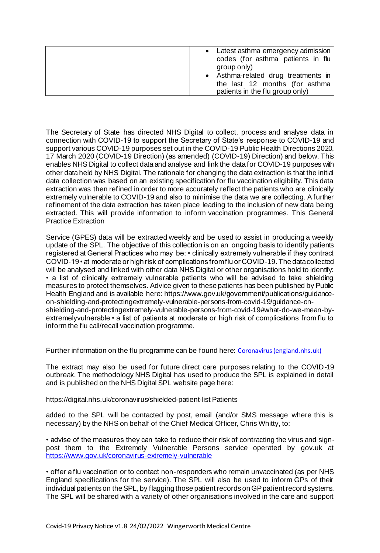| • Latest asthma emergency admission                               |
|-------------------------------------------------------------------|
| codes (for asthma patients in flu<br>group only)                  |
| • Asthma-related drug treatments in                               |
| the last 12 months (for asthma<br>patients in the flu group only) |

The Secretary of State has directed NHS Digital to collect, process and analyse data in connection with COVID-19 to support the Secretary of State's response to COVID-19 and support various COVID-19 purposes set out in the COVID-19 Public Health Directions 2020, 17 March 2020 (COVID-19 Direction) (as amended) (COVID-19) Direction) and below. This enables NHS Digital to collect data and analyse and link the data for COVID-19 purposes with other data held by NHS Digital. The rationale for changing the data extraction is that the initial data collection was based on an existing specification for flu vaccination eligibility. This data extraction was then refined in order to more accurately reflect the patients who are clinically extremely vulnerable to COVID-19 and also to minimise the data we are collecting. A further refinement of the data extraction has taken place leading to the inclusion of new data being extracted. This will provide information to inform vaccination programmes. This General Practice Extraction

Service (GPES) data will be extracted weekly and be used to assist in producing a weekly update of the SPL. The objective of this collection is on an ongoing basis to identify patients registered at General Practices who may be: • clinically extremely vulnerable if they contract COVID-19 • at moderate or high risk of complications from flu or COVID-19. The data collected will be analysed and linked with other data NHS Digital or other organisations hold to identify: • a list of clinically extremely vulnerable patients who will be advised to take shielding measures to protect themselves. Advice given to these patients has been published by Public Health England and is available here: https://www.gov.uk/government/publications/guidanceon-shielding-and-protectingextremely-vulnerable-persons-from-covid-19/guidance-onshielding-and-protectingextremely-vulnerable-persons-from-covid-19#what-do-we-mean-byextremelyvulnerable • a list of patients at moderate or high risk of complications from flu to inform the flu call/recall vaccination programme.

Further information on the flu programme can be found here: [Coronavirus \(england.nhs.uk\)](https://www.england.nhs.uk/coronavirus/)

The extract may also be used for future direct care purposes relating to the COVID-19 outbreak. The methodology NHS Digital has used to produce the SPL is explained in detail and is published on the NHS Digital SPL website page here:

https://digital.nhs.uk/coronavirus/shielded-patient-list Patients

added to the SPL will be contacted by post, email (and/or SMS message where this is necessary) by the NHS on behalf of the Chief Medical Officer, Chris Whitty, to:

• advise of the measures they can take to reduce their risk of contracting the virus and signpost them to the Extremely Vulnerable Persons service operated by gov.uk at <https://www.gov.uk/coronavirus-extremely-vulnerable>

• offer a flu vaccination or to contact non-responders who remain unvaccinated (as per NHS England specifications for the service). The SPL will also be used to inform GPs of their individual patients on the SPL, by flagging those patient records on GP patient record systems. The SPL will be shared with a variety of other organisations involved in the care and support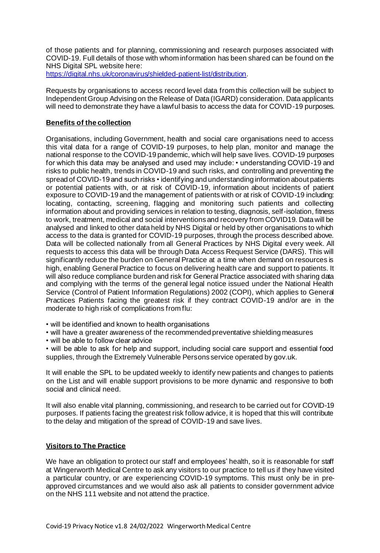of those patients and for planning, commissioning and research purposes associated with COVID-19. Full details of those with whom information has been shared can be found on the NHS Digital SPL website here:

<https://digital.nhs.uk/coronavirus/shielded-patient-list/distribution>.

Requests by organisations to access record level data from this collection will be subject to Independent Group Advising on the Release of Data (IGARD) consideration. Data applicants will need to demonstrate they have a lawful basis to access the data for COVID-19 purposes.

## **Benefits of the collection**

Organisations, including Government, health and social care organisations need to access this vital data for a range of COVID-19 purposes, to help plan, monitor and manage the national response to the COVID-19 pandemic, which will help save lives. COVID-19 purposes for which this data may be analysed and used may include: • understanding COVID-19 and risks to public health, trends in COVID-19 and such risks, and controlling and preventing the spread of COVID-19 and such risks • identifying and understanding information about patients or potential patients with, or at risk of COVID-19, information about incidents of patient exposure to COVID-19 and the management of patients with or at risk of COVID-19 including: locating, contacting, screening, flagging and monitoring such patients and collecting information about and providing services in relation to testing, diagnosis, self-isolation, fitness to work, treatment, medical and social interventions and recovery from COVID19. Data will be analysed and linked to other data held by NHS Digital or held by other organisations to which access to the data is granted for COVID-19 purposes, through the process described above. Data will be collected nationally from all General Practices by NHS Digital every week. All requests to access this data will be through Data Access Request Service (DARS). This will significantly reduce the burden on General Practice at a time when demand on resources is high, enabling General Practice to focus on delivering health care and support to patients. It will also reduce compliance burden and risk for General Practice associated with sharing data and complying with the terms of the general legal notice issued under the National Health Service (Control of Patient Information Regulations) 2002 (COPI), which applies to General Practices Patients facing the greatest risk if they contract COVID-19 and/or are in the moderate to high risk of complications from flu:

- will be identified and known to health organisations
- will have a greater awareness of the recommended preventative shielding measures
- will be able to follow clear advice

• will be able to ask for help and support, including social care support and essential food supplies, through the Extremely Vulnerable Persons service operated by gov.uk.

It will enable the SPL to be updated weekly to identify new patients and changes to patients on the List and will enable support provisions to be more dynamic and responsive to both social and clinical need.

It will also enable vital planning, commissioning, and research to be carried out for COVID-19 purposes. If patients facing the greatest risk follow advice, it is hoped that this will contribute to the delay and mitigation of the spread of COVID-19 and save lives.

## **Visitors to The Practice**

We have an obligation to protect our staff and employees' health, so it is reasonable for staff at Wingerworth Medical Centre to ask any visitors to our practice to tell us if they have visited a particular country, or are experiencing COVID-19 symptoms. This must only be in preapproved circumstances and we would also ask all patients to consider government advice on the NHS 111 website and not attend the practice.